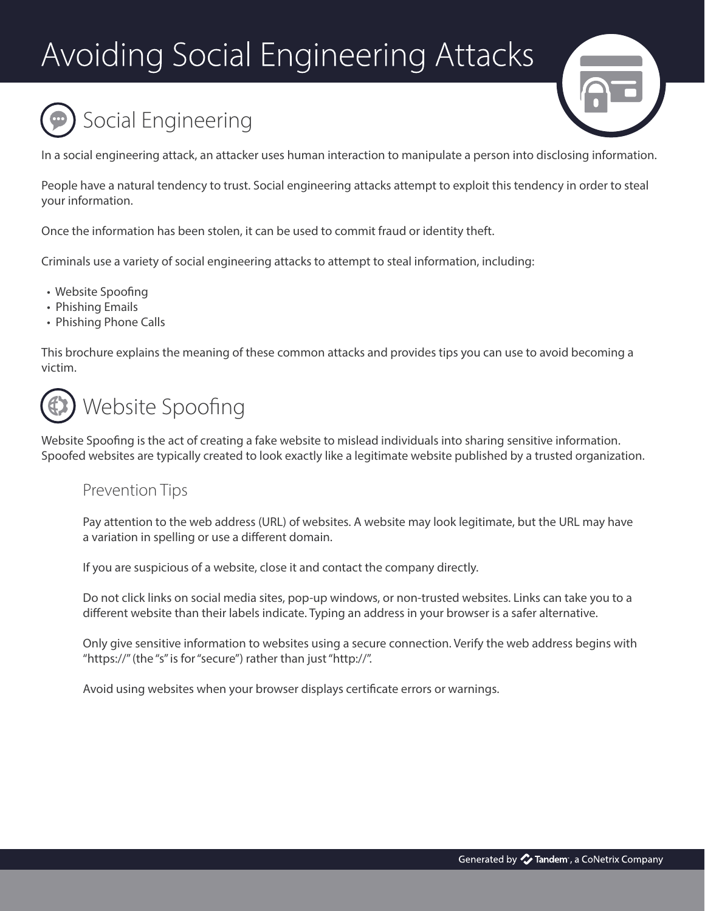# Avoiding Social Engineering Attacks





In a social engineering attack, an attacker uses human interaction to manipulate a person into disclosing information.

People have a natural tendency to trust. Social engineering attacks attempt to exploit this tendency in order to steal your information.

Once the information has been stolen, it can be used to commit fraud or identity theft.

Criminals use a variety of social engineering attacks to attempt to steal information, including:

- Website Spoofing
- Phishing Emails
- Phishing Phone Calls

This brochure explains the meaning of these common attacks and provides tips you can use to avoid becoming a victim.



Website Spoofing is the act of creating a fake website to mislead individuals into sharing sensitive information. Spoofed websites are typically created to look exactly like a legitimate website published by a trusted organization.

## Prevention Tips

 Pay attention to the web address (URL) of websites. A website may look legitimate, but the URL may have a variation in spelling or use a different domain.

If you are suspicious of a website, close it and contact the company directly.

 Do not click links on social media sites, pop-up windows, or non-trusted websites. Links can take you to a different website than their labels indicate. Typing an address in your browser is a safer alternative.

 Only give sensitive information to websites using a secure connection. Verify the web address begins with "https://" (the "s" is for "secure") rather than just "http://".

Avoid using websites when your browser displays certificate errors or warnings.